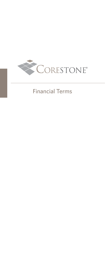

## Financial Terms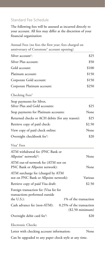## Standard Fee Schedule

The following fees will be assessed as incurred directly to your account. All fees may differ at the discretion of your financial organization:

| Annual Fees (no fees the first year; fees charged on<br>anniversary of Corestone® account opening)             |                          |  |
|----------------------------------------------------------------------------------------------------------------|--------------------------|--|
| Silver account <sup>1</sup> :                                                                                  | \$25                     |  |
| Silver Plus account:                                                                                           | \$50                     |  |
| Gold account:                                                                                                  | \$100                    |  |
| Platinum account:                                                                                              | \$150                    |  |
| Corporate Gold account:                                                                                        | \$150                    |  |
| Corporate Platinum account:                                                                                    | \$250                    |  |
| Checking Fees <sup>2</sup>                                                                                     |                          |  |
| Stop payments for Silver,<br>Silver Plus and Gold accounts:                                                    | \$25                     |  |
| Stop payments for Platinum accounts:                                                                           | None                     |  |
| Returned checks or ACH debits (for any reason):                                                                | \$25                     |  |
| Retrieve copy of paid check:                                                                                   | \$2.50                   |  |
| View copy of paid check online:                                                                                | None                     |  |
| Overnight checkbook fee <sup>3</sup> :                                                                         | \$20                     |  |
| Visa <sup>®</sup> Fees                                                                                         |                          |  |
| ATM withdrawal fee (PNC Bank or<br>Allpoint <sup>®</sup> network) <sup>4</sup> :                               | None                     |  |
| ATM out-of-network fee (ATM not on<br>PNC Bank or Allpoint network):                                           | None                     |  |
| ATM surcharge fee (charged by ATM<br>not on PNC Bank or Allpoint network):                                     | Various                  |  |
| Retrieve copy of paid Visa draft:                                                                              | \$2.50                   |  |
| Foreign transaction fee (Visa fee for<br>transactions performed outside<br>the U.S.):<br>1% of the transaction |                          |  |
| Cash advance fee (non-ATM):                                                                                    | 0.25% of the transaction |  |
| $($2.50$ minimum)                                                                                              |                          |  |
| Overnight debit card fee <sup>3</sup> :                                                                        | \$20                     |  |

**Electronic Checks**

Letter with checking account information: None

Can be upgraded to any paper check style at any time.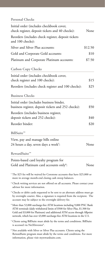## **Personal Checks**

| Initial order (includes checkbook cover,                                                                                                                                                                                                                                                                                    |         |
|-----------------------------------------------------------------------------------------------------------------------------------------------------------------------------------------------------------------------------------------------------------------------------------------------------------------------------|---------|
| check register, deposit tickets and 40 checks):                                                                                                                                                                                                                                                                             | None    |
| Reorders (includes check register, deposit tickets<br>and 100 checks):                                                                                                                                                                                                                                                      |         |
| Silver and Silver Plus accounts:                                                                                                                                                                                                                                                                                            | \$12.50 |
| Gold and Corporate Gold accounts:                                                                                                                                                                                                                                                                                           | \$10    |
| Platinum and Corporate Platinum accounts:                                                                                                                                                                                                                                                                                   | \$7.50  |
| <b>Carbon Copy Checks</b>                                                                                                                                                                                                                                                                                                   |         |
| Initial order (includes checkbook cover,<br>check register and 100 checks):                                                                                                                                                                                                                                                 | \$15    |
| Reorders (includes check register and 100 checks):                                                                                                                                                                                                                                                                          | \$25    |
| <b>Business Checks</b>                                                                                                                                                                                                                                                                                                      |         |
| Initial order (includes business binder,<br>business register, deposit tickets and 252 checks):                                                                                                                                                                                                                             | \$50    |
| Reorders (includes business register,<br>deposit tickets and 252 checks):                                                                                                                                                                                                                                                   | \$40    |
| Reorder binder:                                                                                                                                                                                                                                                                                                             | \$20    |
| BillSuite <sup>™</sup>                                                                                                                                                                                                                                                                                                      |         |
| View, pay and manage bills online                                                                                                                                                                                                                                                                                           |         |
| 24 hours a day, seven days a week <sup>5</sup> :                                                                                                                                                                                                                                                                            | None    |
| RewardSuite <sup>™</sup>                                                                                                                                                                                                                                                                                                    |         |
| Points-based card loyalty program for                                                                                                                                                                                                                                                                                       |         |
| Gold and Platinum card accounts only <sup>6</sup> :                                                                                                                                                                                                                                                                         | None    |
| <sup>1</sup> The \$25 fee will be waived for Corestone accounts that have \$25,000 or<br>more in average month-end closing cash sweep balances.                                                                                                                                                                             |         |
| <sup>2</sup> Check writing services are not offered on all accounts. Please contact your<br>advisor for more information.                                                                                                                                                                                                   |         |
| <sup>3</sup> Checks or debit cards requested to be sent to an alternate address must go<br>by overnight courier. Also, a signature is required from the recipient. The<br>account may be subject to the overnight delivery fee.                                                                                             |         |
| <sup>4</sup> More than 52,000 surcharge-free ATM locations including 9,000 PNC Bank<br>ATM terminals (daily withdrawal limits of \$500 for Silver Plus, \$1,500 for<br>Gold and \$3,000 for Platinum) and additional ATM access through Allpoint<br>network, which has over 43,000 surcharge-free ATM locations in the U.S. |         |
| <sup>5</sup> Clients using BillSuite must abide by the terms and conditions. BillSuite<br>is accessed via NetXInvestor®.                                                                                                                                                                                                    |         |
| <sup>6</sup> Not available with Silver or Silver Plus accounts. Clients using the                                                                                                                                                                                                                                           |         |

RewardSuite program must abide by the terms and conditions. For more information, please visit myrewardsuite.com.